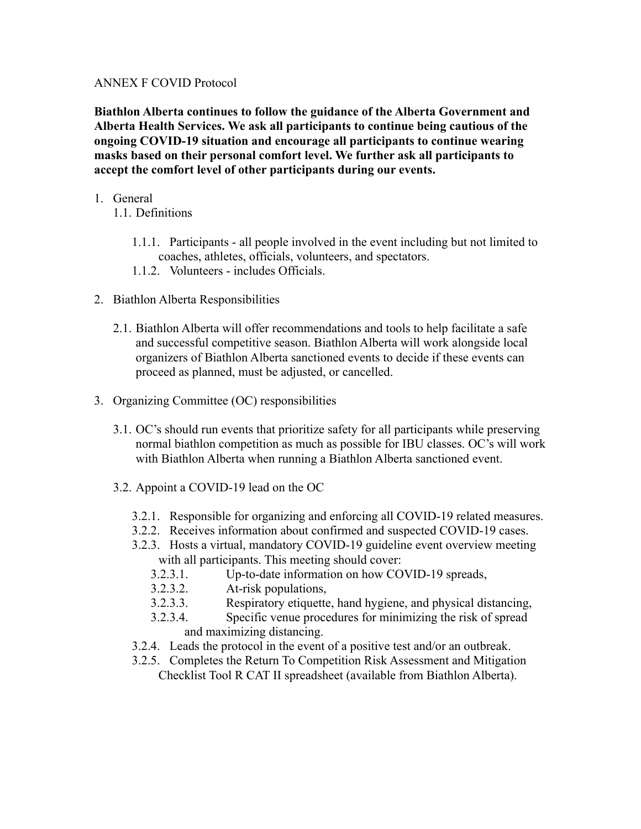#### ANNEX F COVID Protocol

**Biathlon Alberta continues to follow the guidance of the Alberta Government and Alberta Health Services. We ask all participants to continue being cautious of the ongoing COVID-19 situation and encourage all participants to continue wearing masks based on their personal comfort level. We further ask all participants to accept the comfort level of other participants during our events.**

- 1. General
	- 1.1. Definitions
		- 1.1.1. Participants all people involved in the event including but not limited to coaches, athletes, officials, volunteers, and spectators.
		- 1.1.2. Volunteers includes Officials.
- 2. Biathlon Alberta Responsibilities
	- 2.1. Biathlon Alberta will offer recommendations and tools to help facilitate a safe and successful competitive season. Biathlon Alberta will work alongside local organizers of Biathlon Alberta sanctioned events to decide if these events can proceed as planned, must be adjusted, or cancelled.
- 3. Organizing Committee (OC) responsibilities
	- 3.1. OC's should run events that prioritize safety for all participants while preserving normal biathlon competition as much as possible for IBU classes. OC's will work with Biathlon Alberta when running a Biathlon Alberta sanctioned event.
	- 3.2. Appoint a COVID-19 lead on the OC
		- 3.2.1. Responsible for organizing and enforcing all COVID-19 related measures.
		- 3.2.2. Receives information about confirmed and suspected COVID-19 cases.
		- 3.2.3. Hosts a virtual, mandatory COVID-19 guideline event overview meeting with all participants. This meeting should cover:
			- 3.2.3.1. Up-to-date information on how COVID-19 spreads,
			- 3.2.3.2. At-risk populations,
			- 3.2.3.3. Respiratory etiquette, hand hygiene, and physical distancing,
			- 3.2.3.4. Specific venue procedures for minimizing the risk of spread and maximizing distancing.
		- 3.2.4. Leads the protocol in the event of a positive test and/or an outbreak.
		- 3.2.5. Completes the Return To Competition Risk Assessment and Mitigation Checklist Tool R CAT II spreadsheet (available from Biathlon Alberta).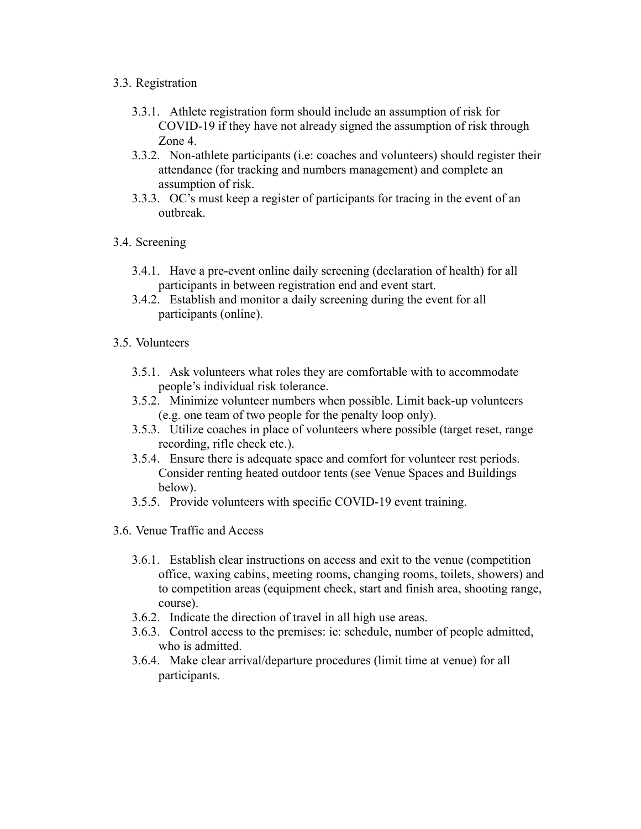### 3.3. Registration

- 3.3.1. Athlete registration form should include an assumption of risk for COVID-19 if they have not already signed the assumption of risk through Zone 4.
- 3.3.2. Non-athlete participants (i.e: coaches and volunteers) should register their attendance (for tracking and numbers management) and complete an assumption of risk.
- 3.3.3. OC's must keep a register of participants for tracing in the event of an outbreak.
- 3.4. Screening
	- 3.4.1. Have a pre-event online daily screening (declaration of health) for all participants in between registration end and event start.
	- 3.4.2. Establish and monitor a daily screening during the event for all participants (online).
- 3.5. Volunteers
	- 3.5.1. Ask volunteers what roles they are comfortable with to accommodate people's individual risk tolerance.
	- 3.5.2. Minimize volunteer numbers when possible. Limit back-up volunteers (e.g. one team of two people for the penalty loop only).
	- 3.5.3. Utilize coaches in place of volunteers where possible (target reset, range recording, rifle check etc.).
	- 3.5.4. Ensure there is adequate space and comfort for volunteer rest periods. Consider renting heated outdoor tents (see Venue Spaces and Buildings below).
	- 3.5.5. Provide volunteers with specific COVID-19 event training.
- 3.6. Venue Traffic and Access
	- 3.6.1. Establish clear instructions on access and exit to the venue (competition office, waxing cabins, meeting rooms, changing rooms, toilets, showers) and to competition areas (equipment check, start and finish area, shooting range, course).
	- 3.6.2. Indicate the direction of travel in all high use areas.
	- 3.6.3. Control access to the premises: ie: schedule, number of people admitted, who is admitted.
	- 3.6.4. Make clear arrival/departure procedures (limit time at venue) for all participants.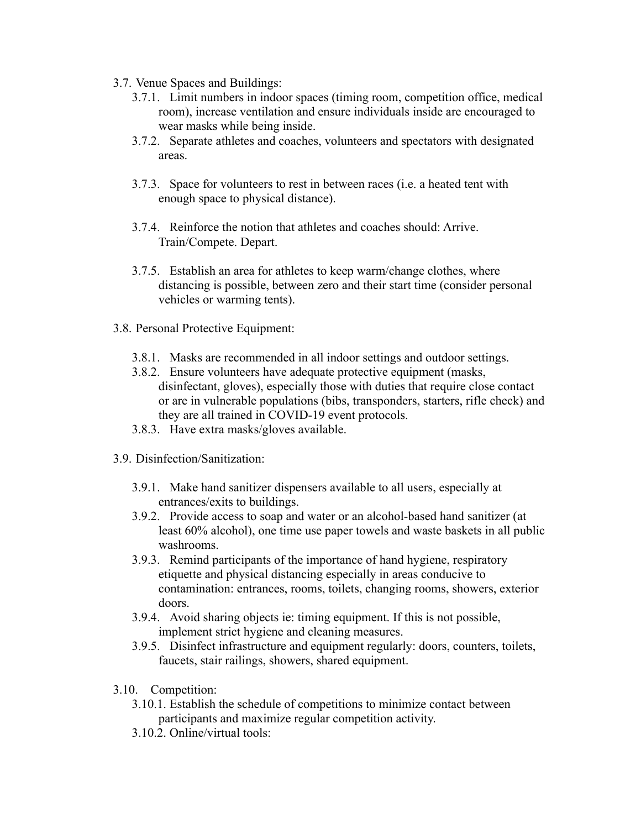- 3.7. Venue Spaces and Buildings:
	- 3.7.1. Limit numbers in indoor spaces (timing room, competition office, medical room), increase ventilation and ensure individuals inside are encouraged to wear masks while being inside.
	- 3.7.2. Separate athletes and coaches, volunteers and spectators with designated areas.
	- 3.7.3. Space for volunteers to rest in between races (i.e. a heated tent with enough space to physical distance).
	- 3.7.4. Reinforce the notion that athletes and coaches should: Arrive. Train/Compete. Depart.
	- 3.7.5. Establish an area for athletes to keep warm/change clothes, where distancing is possible, between zero and their start time (consider personal vehicles or warming tents).
- 3.8. Personal Protective Equipment:
	- 3.8.1. Masks are recommended in all indoor settings and outdoor settings.
	- 3.8.2. Ensure volunteers have adequate protective equipment (masks, disinfectant, gloves), especially those with duties that require close contact or are in vulnerable populations (bibs, transponders, starters, rifle check) and they are all trained in COVID-19 event protocols.
	- 3.8.3. Have extra masks/gloves available.
- 3.9. Disinfection/Sanitization:
	- 3.9.1. Make hand sanitizer dispensers available to all users, especially at entrances/exits to buildings.
	- 3.9.2. Provide access to soap and water or an alcohol-based hand sanitizer (at least 60% alcohol), one time use paper towels and waste baskets in all public washrooms.
	- 3.9.3. Remind participants of the importance of hand hygiene, respiratory etiquette and physical distancing especially in areas conducive to contamination: entrances, rooms, toilets, changing rooms, showers, exterior doors.
	- 3.9.4. Avoid sharing objects ie: timing equipment. If this is not possible, implement strict hygiene and cleaning measures.
	- 3.9.5. Disinfect infrastructure and equipment regularly: doors, counters, toilets, faucets, stair railings, showers, shared equipment.
- 3.10. Competition:
	- 3.10.1. Establish the schedule of competitions to minimize contact between participants and maximize regular competition activity.
	- 3.10.2. Online/virtual tools: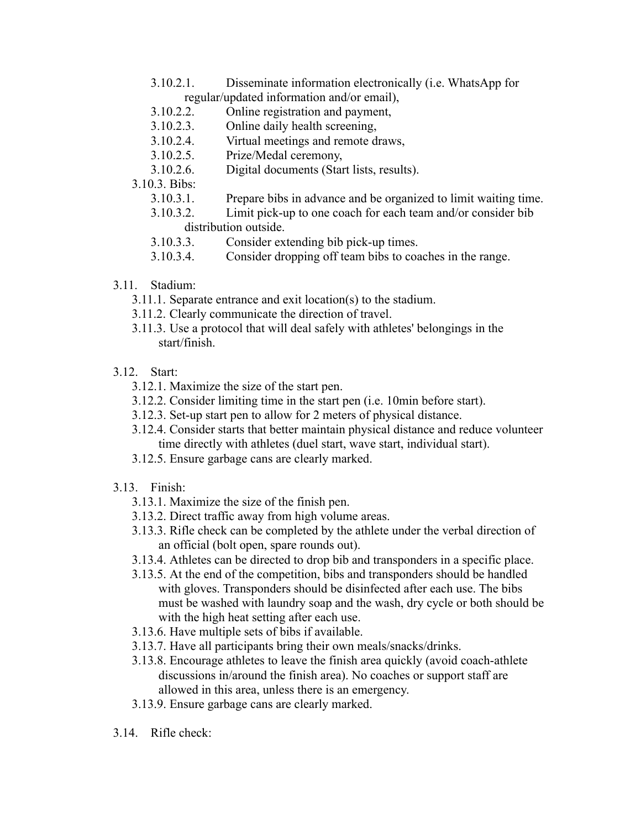- 3.10.2.1. Disseminate information electronically (i.e. WhatsApp for regular/updated information and/or email),
- 3.10.2.2. Online registration and payment,
- 3.10.2.3. Online daily health screening,
- 3.10.2.4. Virtual meetings and remote draws,
- 3.10.2.5. Prize/Medal ceremony,
- 3.10.2.6. Digital documents (Start lists, results).

## 3.10.3. Bibs:

- 3.10.3.1. Prepare bibs in advance and be organized to limit waiting time.
- 3.10.3.2. Limit pick-up to one coach for each team and/or consider bib distribution outside.
- 3.10.3.3. Consider extending bib pick-up times.
- 3.10.3.4. Consider dropping off team bibs to coaches in the range.
- 3.11. Stadium:
	- 3.11.1. Separate entrance and exit location(s) to the stadium.
	- 3.11.2. Clearly communicate the direction of travel.
	- 3.11.3. Use a protocol that will deal safely with athletes' belongings in the start/finish.

# 3.12. Start:

- 3.12.1. Maximize the size of the start pen.
- 3.12.2. Consider limiting time in the start pen (i.e. 10min before start).
- 3.12.3. Set-up start pen to allow for 2 meters of physical distance.
- 3.12.4. Consider starts that better maintain physical distance and reduce volunteer time directly with athletes (duel start, wave start, individual start).
- 3.12.5. Ensure garbage cans are clearly marked.
- 3.13. Finish:
	- 3.13.1. Maximize the size of the finish pen.
	- 3.13.2. Direct traffic away from high volume areas.
	- 3.13.3. Rifle check can be completed by the athlete under the verbal direction of an official (bolt open, spare rounds out).
	- 3.13.4. Athletes can be directed to drop bib and transponders in a specific place.
	- 3.13.5. At the end of the competition, bibs and transponders should be handled with gloves. Transponders should be disinfected after each use. The bibs must be washed with laundry soap and the wash, dry cycle or both should be with the high heat setting after each use.
	- 3.13.6. Have multiple sets of bibs if available.
	- 3.13.7. Have all participants bring their own meals/snacks/drinks.
	- 3.13.8. Encourage athletes to leave the finish area quickly (avoid coach-athlete discussions in/around the finish area). No coaches or support staff are allowed in this area, unless there is an emergency.
	- 3.13.9. Ensure garbage cans are clearly marked.
- 3.14. Rifle check: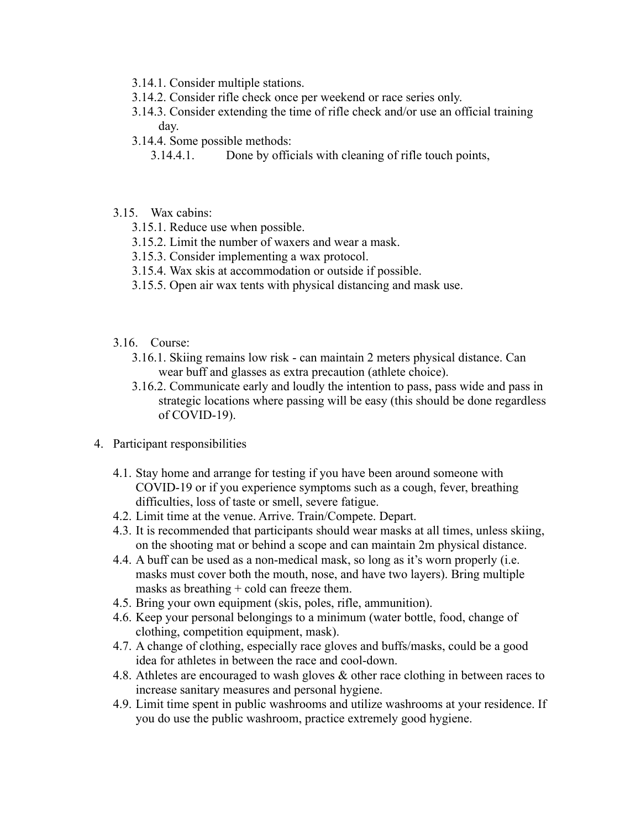- 3.14.1. Consider multiple stations.
- 3.14.2. Consider rifle check once per weekend or race series only.
- 3.14.3. Consider extending the time of rifle check and/or use an official training day.
- 3.14.4. Some possible methods:
	- 3.14.4.1. Done by officials with cleaning of rifle touch points,
- 3.15. Wax cabins:
	- 3.15.1. Reduce use when possible.
	- 3.15.2. Limit the number of waxers and wear a mask.
	- 3.15.3. Consider implementing a wax protocol.
	- 3.15.4. Wax skis at accommodation or outside if possible.
	- 3.15.5. Open air wax tents with physical distancing and mask use.
- 3.16. Course:
	- 3.16.1. Skiing remains low risk can maintain 2 meters physical distance. Can wear buff and glasses as extra precaution (athlete choice).
	- 3.16.2. Communicate early and loudly the intention to pass, pass wide and pass in strategic locations where passing will be easy (this should be done regardless of COVID-19).
- 4. Participant responsibilities
	- 4.1. Stay home and arrange for testing if you have been around someone with COVID-19 or if you experience symptoms such as a cough, fever, breathing difficulties, loss of taste or smell, severe fatigue.
	- 4.2. Limit time at the venue. Arrive. Train/Compete. Depart.
	- 4.3. It is recommended that participants should wear masks at all times, unless skiing, on the shooting mat or behind a scope and can maintain 2m physical distance.
	- 4.4. A buff can be used as a non-medical mask, so long as it's worn properly (i.e. masks must cover both the mouth, nose, and have two layers). Bring multiple masks as breathing  $+$  cold can freeze them.
	- 4.5. Bring your own equipment (skis, poles, rifle, ammunition).
	- 4.6. Keep your personal belongings to a minimum (water bottle, food, change of clothing, competition equipment, mask).
	- 4.7. A change of clothing, especially race gloves and buffs/masks, could be a good idea for athletes in between the race and cool-down.
	- 4.8. Athletes are encouraged to wash gloves & other race clothing in between races to increase sanitary measures and personal hygiene.
	- 4.9. Limit time spent in public washrooms and utilize washrooms at your residence. If you do use the public washroom, practice extremely good hygiene.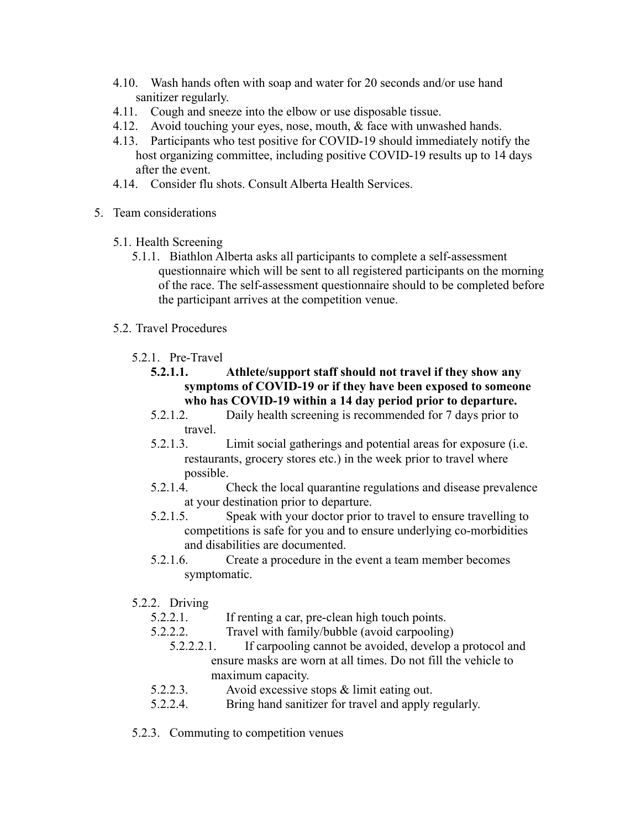- 4.10. Wash hands often with soap and water for 20 seconds and/or use hand sanitizer regularly.
- 4.11. Cough and sneeze into the elbow or use disposable tissue.
- 4.12. Avoid touching your eyes, nose, mouth, & face with unwashed hands.
- 4.13. Participants who test positive for COVID-19 should immediately notify the host organizing committee, including positive COVID-19 results up to 14 days after the event.
- 4.14. Consider flu shots. Consult Alberta Health Services.
- 5. Team considerations
	- 5.1. Health Screening
		- 5.1.1. Biathlon Alberta asks all participants to complete a self-assessment questionnaire which will be sent to all registered participants on the morning of the race. The self-assessment questionnaire should to be completed before the participant arrives at the competition venue.
	- 5.2. Travel Procedures
		- 5.2.1. Pre-Travel
			- **5.2.1.1. Athlete/support staff should not travel if they show any symptoms of COVID-19 or if they have been exposed to someone who has COVID-19 within a 14 day period prior to departure.**
			- 5.2.1.2. Daily health screening is recommended for 7 days prior to travel.
			- 5.2.1.3. Limit social gatherings and potential areas for exposure (i.e. restaurants, grocery stores etc.) in the week prior to travel where possible.
			- 5.2.1.4. Check the local quarantine regulations and disease prevalence at your destination prior to departure.
			- 5.2.1.5. Speak with your doctor prior to travel to ensure travelling to competitions is safe for you and to ensure underlying co-morbidities and disabilities are documented.
			- 5.2.1.6. Create a procedure in the event a team member becomes symptomatic.
		- 5.2.2. Driving
			- 5.2.2.1. If renting a car, pre-clean high touch points.
			- 5.2.2.2. Travel with family/bubble (avoid carpooling)
				- 5.2.2.2.1. If carpooling cannot be avoided, develop a protocol and ensure masks are worn at all times. Do not fill the vehicle to maximum capacity.
			- 5.2.2.3. Avoid excessive stops & limit eating out.
			- 5.2.2.4. Bring hand sanitizer for travel and apply regularly.
		- 5.2.3. Commuting to competition venues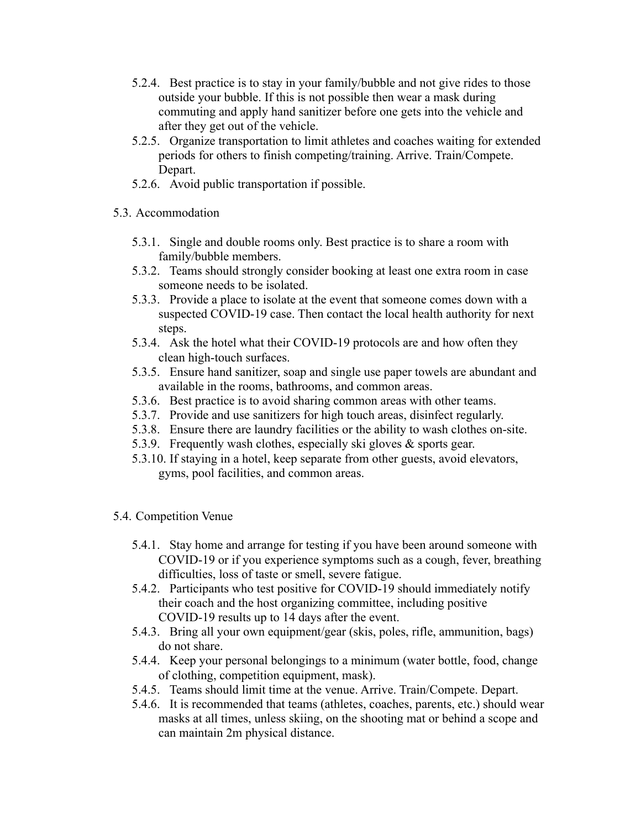- 5.2.4. Best practice is to stay in your family/bubble and not give rides to those outside your bubble. If this is not possible then wear a mask during commuting and apply hand sanitizer before one gets into the vehicle and after they get out of the vehicle.
- 5.2.5. Organize transportation to limit athletes and coaches waiting for extended periods for others to finish competing/training. Arrive. Train/Compete. Depart.
- 5.2.6. Avoid public transportation if possible.

## 5.3. Accommodation

- 5.3.1. Single and double rooms only. Best practice is to share a room with family/bubble members.
- 5.3.2. Teams should strongly consider booking at least one extra room in case someone needs to be isolated.
- 5.3.3. Provide a place to isolate at the event that someone comes down with a suspected COVID-19 case. Then contact the local health authority for next steps.
- 5.3.4. Ask the hotel what their COVID-19 protocols are and how often they clean high-touch surfaces.
- 5.3.5. Ensure hand sanitizer, soap and single use paper towels are abundant and available in the rooms, bathrooms, and common areas.
- 5.3.6. Best practice is to avoid sharing common areas with other teams.
- 5.3.7. Provide and use sanitizers for high touch areas, disinfect regularly.
- 5.3.8. Ensure there are laundry facilities or the ability to wash clothes on-site.
- 5.3.9. Frequently wash clothes, especially ski gloves & sports gear.
- 5.3.10. If staying in a hotel, keep separate from other guests, avoid elevators, gyms, pool facilities, and common areas.

## 5.4. Competition Venue

- 5.4.1. Stay home and arrange for testing if you have been around someone with COVID-19 or if you experience symptoms such as a cough, fever, breathing difficulties, loss of taste or smell, severe fatigue.
- 5.4.2. Participants who test positive for COVID-19 should immediately notify their coach and the host organizing committee, including positive COVID-19 results up to 14 days after the event.
- 5.4.3. Bring all your own equipment/gear (skis, poles, rifle, ammunition, bags) do not share.
- 5.4.4. Keep your personal belongings to a minimum (water bottle, food, change of clothing, competition equipment, mask).
- 5.4.5. Teams should limit time at the venue. Arrive. Train/Compete. Depart.
- 5.4.6. It is recommended that teams (athletes, coaches, parents, etc.) should wear masks at all times, unless skiing, on the shooting mat or behind a scope and can maintain 2m physical distance.